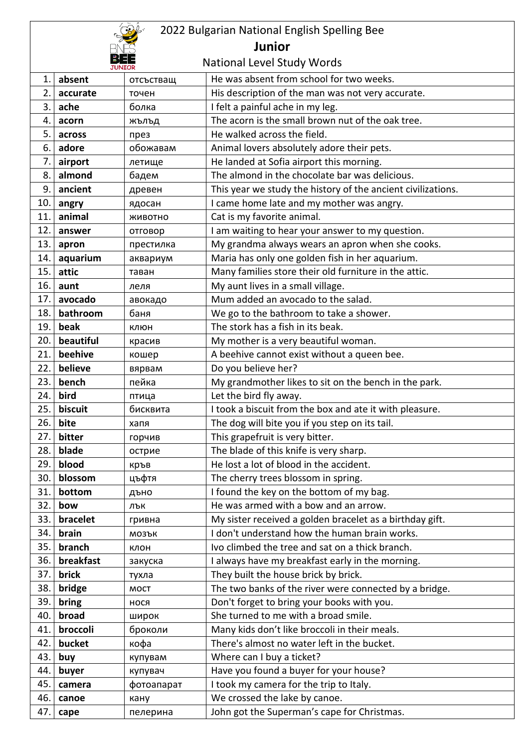| 2022 Bulgarian National English Spelling Bee |           |             |                                                                                       |  |
|----------------------------------------------|-----------|-------------|---------------------------------------------------------------------------------------|--|
| <b>Junior</b>                                |           |             |                                                                                       |  |
| <b>National Level Study Words</b>            |           |             |                                                                                       |  |
| He was absent from school for two weeks.     |           |             |                                                                                       |  |
| 1.<br>2.                                     | absent    | отсъстващ   |                                                                                       |  |
| 3.                                           | accurate  | точен       | His description of the man was not very accurate.                                     |  |
|                                              | ache      | болка       | I felt a painful ache in my leg.<br>The acorn is the small brown nut of the oak tree. |  |
| 4.                                           | acorn     | жълъд       |                                                                                       |  |
| 5.                                           | across    | през        | He walked across the field.                                                           |  |
| 6.                                           | adore     | обожавам    | Animal lovers absolutely adore their pets.                                            |  |
| 7.                                           | airport   | летище      | He landed at Sofia airport this morning.                                              |  |
| 8.                                           | almond    | бадем       | The almond in the chocolate bar was delicious.                                        |  |
| 9.                                           | ancient   | древен      | This year we study the history of the ancient civilizations.                          |  |
| 10.                                          | angry     | ядосан      | I came home late and my mother was angry.                                             |  |
| 11.                                          | animal    | ЖИВОТНО     | Cat is my favorite animal.                                                            |  |
| 12.                                          | answer    | отговор     | I am waiting to hear your answer to my question.                                      |  |
| 13.                                          | apron     | престилка   | My grandma always wears an apron when she cooks.                                      |  |
| 14.                                          | aquarium  | аквариум    | Maria has only one golden fish in her aquarium.                                       |  |
| 15.                                          | attic     | таван       | Many families store their old furniture in the attic.                                 |  |
| 16.                                          | aunt      | леля        | My aunt lives in a small village.                                                     |  |
| 17.                                          | avocado   | авокадо     | Mum added an avocado to the salad.                                                    |  |
| 18.                                          | bathroom  | баня        | We go to the bathroom to take a shower.                                               |  |
| 19.                                          | beak      | клюн        | The stork has a fish in its beak.                                                     |  |
| 20.                                          | beautiful | красив      | My mother is a very beautiful woman.                                                  |  |
| 21.                                          | beehive   | кошер       | A beehive cannot exist without a queen bee.                                           |  |
| 22.                                          | believe   | вярвам      | Do you believe her?                                                                   |  |
| 23.                                          | bench     | пейка       | My grandmother likes to sit on the bench in the park.                                 |  |
| 24.                                          | bird      | птица       | Let the bird fly away.                                                                |  |
| 25.                                          | biscuit   | бисквита    | I took a biscuit from the box and ate it with pleasure.                               |  |
| 26.                                          | bite      | хапя        | The dog will bite you if you step on its tail.                                        |  |
| 27.                                          | bitter    | горчив      | This grapefruit is very bitter.                                                       |  |
| 28.                                          | blade     | острие      | The blade of this knife is very sharp.                                                |  |
| 29.                                          | blood     | кръв        | He lost a lot of blood in the accident.                                               |  |
| 30.                                          | blossom   | цъфтя       | The cherry trees blossom in spring.                                                   |  |
| 31.                                          | bottom    | дъно        | I found the key on the bottom of my bag.                                              |  |
| 32.                                          | bow       | ЛЪК         | He was armed with a bow and an arrow.                                                 |  |
| 33.                                          | bracelet  | гривна      | My sister received a golden bracelet as a birthday gift.                              |  |
| 34.                                          | brain     | МОЗЪК       | I don't understand how the human brain works.                                         |  |
| 35.                                          | branch    | клон        | Ivo climbed the tree and sat on a thick branch.                                       |  |
| 36.                                          | breakfast | закуска     | I always have my breakfast early in the morning.                                      |  |
| 37.                                          | brick     | тухла       | They built the house brick by brick.                                                  |  |
| 38.                                          | bridge    | <b>MOCT</b> | The two banks of the river were connected by a bridge.                                |  |
| 39.                                          | bring     | нося        | Don't forget to bring your books with you.                                            |  |
| 40.                                          | broad     | широк       | She turned to me with a broad smile.                                                  |  |
| 41.                                          | broccoli  | броколи     | Many kids don't like broccoli in their meals.                                         |  |
| 42.                                          | bucket    | кофа        | There's almost no water left in the bucket.                                           |  |
| 43.                                          | buy       | купувам     | Where can I buy a ticket?                                                             |  |
| 44.                                          | buyer     | купувач     | Have you found a buyer for your house?                                                |  |
| 45.                                          | camera    | фотоапарат  | I took my camera for the trip to Italy.                                               |  |
| 46.                                          | canoe     | кану        | We crossed the lake by canoe.                                                         |  |
| 47.                                          | cape      | пелерина    | John got the Superman's cape for Christmas.                                           |  |
|                                              |           |             |                                                                                       |  |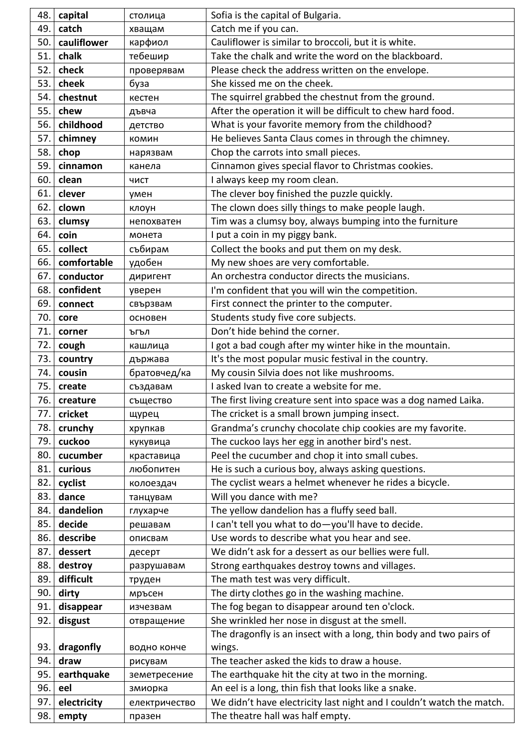| 48.        | capital              | столица                 | Sofia is the capital of Bulgaria.                                                                         |
|------------|----------------------|-------------------------|-----------------------------------------------------------------------------------------------------------|
| 49.        | catch                | хващам                  | Catch me if you can.                                                                                      |
| 50.        | cauliflower          | карфиол                 | Cauliflower is similar to broccoli, but it is white.                                                      |
| 51.        | chalk                | тебешир                 | Take the chalk and write the word on the blackboard.                                                      |
| 52.        | check                | проверявам              | Please check the address written on the envelope.                                                         |
| 53.        | cheek                | буза                    | She kissed me on the cheek.                                                                               |
| 54.        | chestnut             | кестен                  | The squirrel grabbed the chestnut from the ground.                                                        |
| 55.        | chew                 | дъвча                   | After the operation it will be difficult to chew hard food.                                               |
| 56.        | childhood            | детство                 | What is your favorite memory from the childhood?                                                          |
| 57.        | chimney              | комин                   | He believes Santa Claus comes in through the chimney.                                                     |
| 58.        | chop                 | нарязвам                | Chop the carrots into small pieces.                                                                       |
| 59.        | cinnamon             | канела                  | Cinnamon gives special flavor to Christmas cookies.                                                       |
| 60.        | clean                | ЧИСТ                    | I always keep my room clean.                                                                              |
| 61.        | clever               | умен                    | The clever boy finished the puzzle quickly.                                                               |
| 62.        | clown                | клоун                   | The clown does silly things to make people laugh.                                                         |
| 63.        | clumsy               | непохватен              | Tim was a clumsy boy, always bumping into the furniture                                                   |
| 64.        | coin                 | монета                  | I put a coin in my piggy bank.                                                                            |
| 65.        | collect              | събирам                 | Collect the books and put them on my desk.                                                                |
| 66.        | comfortable          | удобен                  | My new shoes are very comfortable.                                                                        |
| 67.        | conductor            | диригент                | An orchestra conductor directs the musicians.                                                             |
| 68.        | confident            | уверен                  | I'm confident that you will win the competition.                                                          |
| 69.        | connect              | свързвам                | First connect the printer to the computer.                                                                |
| 70.        | core                 | основен                 | Students study five core subjects.                                                                        |
| 71.        | corner               | ъгъл                    | Don't hide behind the corner.                                                                             |
| 72.        | cough                | кашлица                 | I got a bad cough after my winter hike in the mountain.                                                   |
| 73.        | country              | държава                 | It's the most popular music festival in the country.                                                      |
| 74.        | cousin               | братовчед/ка            | My cousin Silvia does not like mushrooms.                                                                 |
| 75.        | create               | създавам                | I asked Ivan to create a website for me.                                                                  |
| 76.        | creature             | същество                | The first living creature sent into space was a dog named Laika.                                          |
| 77.        | cricket              | щурец                   | The cricket is a small brown jumping insect.                                                              |
| 78.        | crunchy              | хрупкав                 | Grandma's crunchy chocolate chip cookies are my favorite.                                                 |
| 79.        | cuckoo               | кукувица                | The cuckoo lays her egg in another bird's nest.                                                           |
| 80.        | cucumber             | краставица              | Peel the cucumber and chop it into small cubes.                                                           |
| 81.        | curious              |                         |                                                                                                           |
| 82.        |                      | любопитен               | He is such a curious boy, always asking questions.                                                        |
|            | cyclist              | колоездач               | The cyclist wears a helmet whenever he rides a bicycle.                                                   |
| 83.        | dance                | танцувам                | Will you dance with me?                                                                                   |
| 84.        | dandelion            | глухарче                | The yellow dandelion has a fluffy seed ball.                                                              |
| 85.        | decide               | решавам                 | I can't tell you what to do-you'll have to decide.                                                        |
| 86.        | describe             | описвам                 | Use words to describe what you hear and see.                                                              |
| 87.        | dessert              | десерт                  | We didn't ask for a dessert as our bellies were full.                                                     |
| 88.        | destroy              | разрушавам              | Strong earthquakes destroy towns and villages.                                                            |
| 89.        | difficult            | труден                  | The math test was very difficult.                                                                         |
| 90.        | dirty                | мръсен                  | The dirty clothes go in the washing machine.                                                              |
| 91.        | disappear            | изчезвам                | The fog began to disappear around ten o'clock.                                                            |
| 92.        | disgust              | отвращение              | She wrinkled her nose in disgust at the smell.                                                            |
|            |                      |                         | The dragonfly is an insect with a long, thin body and two pairs of                                        |
| 93.        | dragonfly            | водно конче             | wings.                                                                                                    |
| 94.        | draw                 | рисувам                 | The teacher asked the kids to draw a house.                                                               |
| 95.        | earthquake           | земетресение            | The earthquake hit the city at two in the morning.                                                        |
| 96.        | eel                  | змиорка                 | An eel is a long, thin fish that looks like a snake.                                                      |
| 97.<br>98. | electricity<br>empty | електричество<br>празен | We didn't have electricity last night and I couldn't watch the match.<br>The theatre hall was half empty. |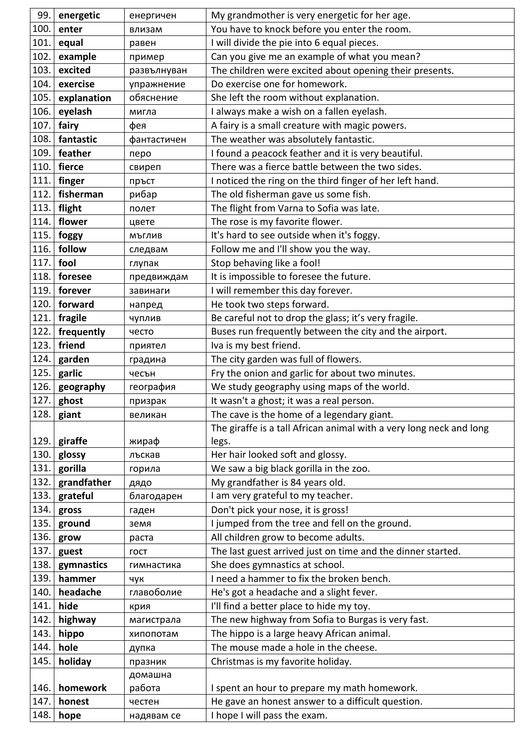| 99.          | energetic      | енергичен            | My grandmother is very energetic for her age.                                     |
|--------------|----------------|----------------------|-----------------------------------------------------------------------------------|
| 100.         | enter          | влизам               | You have to knock before you enter the room.                                      |
| 101.         | equal          | равен                | I will divide the pie into 6 equal pieces.                                        |
| 102.         | example        | пример               | Can you give me an example of what you mean?                                      |
| 103.         | excited        | развълнуван          | The children were excited about opening their presents.                           |
| 104.         | exercise       | упражнение           | Do exercise one for homework.                                                     |
| 105.         | explanation    | обяснение            | She left the room without explanation.                                            |
| 106.         | eyelash        | мигла                | I always make a wish on a fallen eyelash.                                         |
| 107.         | fairy          | фея                  | A fairy is a small creature with magic powers.                                    |
| 108.         | fantastic      | фантастичен          | The weather was absolutely fantastic.                                             |
| 109.         | feather        | перо                 | I found a peacock feather and it is very beautiful.                               |
| 110.         | fierce         | свиреп               | There was a fierce battle between the two sides.                                  |
| 111.         | finger         | пръст                | I noticed the ring on the third finger of her left hand.                          |
| 112.         | fisherman      | рибар                | The old fisherman gave us some fish.                                              |
| 113.         | flight         | полет                | The flight from Varna to Sofia was late.                                          |
| 114.         | flower         | цвете                | The rose is my favorite flower.                                                   |
| 115.         | foggy          | МЪГЛИВ               | It's hard to see outside when it's foggy.                                         |
| 116.         | follow         | следвам              | Follow me and I'll show you the way.                                              |
| 117.         | fool           | глупак               | Stop behaving like a fool!                                                        |
| 118.         | foresee        | предвиждам           | It is impossible to foresee the future.                                           |
| 119.         | forever        | завинаги             | I will remember this day forever.                                                 |
| 120.         | forward        | напред               | He took two steps forward.                                                        |
| 121.         | fragile        | чуплив               | Be careful not to drop the glass; it's very fragile.                              |
| 122.         | frequently     | често                | Buses run frequently between the city and the airport.                            |
| 123.         | friend         | приятел              | Iva is my best friend.                                                            |
| 124.         | garden         | градина              | The city garden was full of flowers.                                              |
|              |                |                      |                                                                                   |
| 125.         | garlic         | чесън                | Fry the onion and garlic for about two minutes.                                   |
| 126.         | geography      | география            | We study geography using maps of the world.                                       |
| 127.         | ghost          | призрак              | It wasn't a ghost; it was a real person.                                          |
| 128.         | giant          | великан              | The cave is the home of a legendary giant.                                        |
|              |                |                      | The giraffe is a tall African animal with a very long neck and long               |
| 129.         | giraffe        | жираф                | legs.                                                                             |
| 130.         | glossy         | лъскав               | Her hair looked soft and glossy.                                                  |
| 131.         | gorilla        | горила               | We saw a big black gorilla in the zoo.                                            |
| 132.         | grandfather    | дядо                 | My grandfather is 84 years old.                                                   |
| 133.         | grateful       | благодарен           | I am very grateful to my teacher.                                                 |
| 134.         | gross          | гаден                | Don't pick your nose, it is gross!                                                |
| 135.         | ground         | земя                 | I jumped from the tree and fell on the ground.                                    |
| 136.         | grow           | раста                | All children grow to become adults.                                               |
| 137.         | guest          | <b>FOCT</b>          | The last guest arrived just on time and the dinner started.                       |
| 138.         | gymnastics     | гимнастика           | She does gymnastics at school.                                                    |
| 139.         | hammer         | чук                  | I need a hammer to fix the broken bench.                                          |
| 140.         | headache       | главоболие           | He's got a headache and a slight fever.                                           |
| 141.         | hide           | крия                 | I'll find a better place to hide my toy.                                          |
| 142.         | highway        | магистрала           | The new highway from Sofia to Burgas is very fast.                                |
| 143.         | hippo          | хипопотам            | The hippo is a large heavy African animal.                                        |
| 144.         | hole           | дупка                | The mouse made a hole in the cheese.                                              |
| 145.         | holiday        | празник              | Christmas is my favorite holiday.                                                 |
|              |                | домашна              |                                                                                   |
| 146.         | homework       | работа               | I spent an hour to prepare my math homework.                                      |
| 147.<br>148. | honest<br>hope | честен<br>надявам се | He gave an honest answer to a difficult question.<br>I hope I will pass the exam. |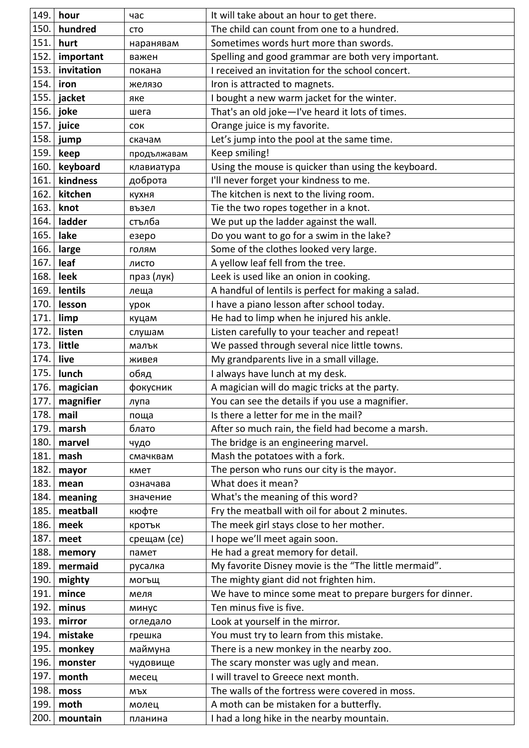| 149. | hour       | час         | It will take about an hour to get there.                  |
|------|------------|-------------|-----------------------------------------------------------|
| 150. | hundred    | <b>CTO</b>  | The child can count from one to a hundred.                |
| 151. | hurt       | наранявам   | Sometimes words hurt more than swords.                    |
| 152. | important  | важен       | Spelling and good grammar are both very important.        |
| 153. | invitation | покана      | I received an invitation for the school concert.          |
| 154. | iron       | желязо      | Iron is attracted to magnets.                             |
| 155. | jacket     | яке         | I bought a new warm jacket for the winter.                |
| 156. | joke       | шега        | That's an old joke-I've heard it lots of times.           |
| 157. | juice      | <b>COK</b>  | Orange juice is my favorite.                              |
| 158. | jump       | скачам      | Let's jump into the pool at the same time.                |
| 159. | keep       | продължавам | Keep smiling!                                             |
| 160. | keyboard   | клавиатура  | Using the mouse is quicker than using the keyboard.       |
| 161. | kindness   | доброта     | I'll never forget your kindness to me.                    |
| 162. | kitchen    | кухня       | The kitchen is next to the living room.                   |
| 163. | knot       | възел       | Tie the two ropes together in a knot.                     |
| 164. | ladder     | стълба      | We put up the ladder against the wall.                    |
| 165. | lake       | езеро       | Do you want to go for a swim in the lake?                 |
| 166. | large      | ГОЛЯМ       | Some of the clothes looked very large.                    |
| 167. | leaf       | ЛИСТО       | A yellow leaf fell from the tree.                         |
| 168. | leek       | праз (лук)  | Leek is used like an onion in cooking.                    |
| 169. | lentils    | леща        | A handful of lentils is perfect for making a salad.       |
| 170. | lesson     | урок        | I have a piano lesson after school today.                 |
| 171  | limp       | куцам       | He had to limp when he injured his ankle.                 |
| 172. | listen     | слушам      | Listen carefully to your teacher and repeat!              |
| 173. | little     | малък       | We passed through several nice little towns.              |
| 174. | live       | живея       | My grandparents live in a small village.                  |
| 175. | lunch      | обяд        | I always have lunch at my desk.                           |
| 176. | magician   | фокусник    | A magician will do magic tricks at the party.             |
| 177. | magnifier  | лупа        | You can see the details if you use a magnifier.           |
| 178. | mail       | поща        | Is there a letter for me in the mail?                     |
| 179. | marsh      | блато       | After so much rain, the field had become a marsh.         |
| 180. | marvel     | чудо        | The bridge is an engineering marvel.                      |
| 181. | mash       | смачквам    | Mash the potatoes with a fork.                            |
| 182. | mayor      | кмет        | The person who runs our city is the mayor.                |
| 183. | mean       | означава    | What does it mean?                                        |
| 184. | meaning    | значение    | What's the meaning of this word?                          |
| 185. | meatball   | кюфте       | Fry the meatball with oil for about 2 minutes.            |
| 186. | meek       | кротък      | The meek girl stays close to her mother.                  |
| 187. | meet       | срещам (се) | I hope we'll meet again soon.                             |
| 188. | memory     | памет       | He had a great memory for detail.                         |
| 189. | mermaid    | русалка     | My favorite Disney movie is the "The little mermaid".     |
| 190. | mighty     | могъщ       | The mighty giant did not frighten him.                    |
| 191. | mince      | меля        | We have to mince some meat to prepare burgers for dinner. |
| 192. | minus      | минус       | Ten minus five is five.                                   |
| 193. | mirror     | огледало    | Look at yourself in the mirror.                           |
| 194. | mistake    | грешка      | You must try to learn from this mistake.                  |
| 195. | monkey     | маймуна     | There is a new monkey in the nearby zoo.                  |
| 196. | monster    | чудовище    | The scary monster was ugly and mean.                      |
| 197. | month      | месец       | I will travel to Greece next month.                       |
| 198. | moss       | мъх         | The walls of the fortress were covered in moss.           |
| 199. | moth       | молец       | A moth can be mistaken for a butterfly.                   |
| 200. | mountain   | планина     | I had a long hike in the nearby mountain.                 |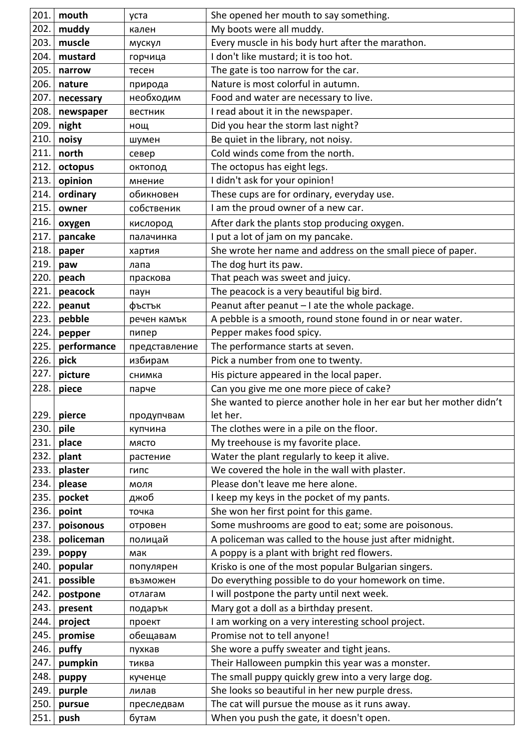| 201. | mouth       | уста          | She opened her mouth to say something.                             |
|------|-------------|---------------|--------------------------------------------------------------------|
| 202. | muddy       | кален         | My boots were all muddy.                                           |
| 203. | muscle      | мускул        | Every muscle in his body hurt after the marathon.                  |
| 204. | mustard     | горчица       | I don't like mustard; it is too hot.                               |
| 205. | narrow      | тесен         | The gate is too narrow for the car.                                |
| 206. | nature      | природа       | Nature is most colorful in autumn.                                 |
| 207. | necessary   | необходим     | Food and water are necessary to live.                              |
| 208. | newspaper   | вестник       | I read about it in the newspaper.                                  |
| 209. | night       | нощ           | Did you hear the storm last night?                                 |
| 210. | noisy       | шумен         | Be quiet in the library, not noisy.                                |
| 211. | north       | север         | Cold winds come from the north.                                    |
| 212. | octopus     | октопод       | The octopus has eight legs.                                        |
| 213. | opinion     | мнение        | I didn't ask for your opinion!                                     |
| 214. | ordinary    | обикновен     | These cups are for ordinary, everyday use.                         |
| 215. | owner       | собственик    | I am the proud owner of a new car.                                 |
| 216. | oxygen      | кислород      | After dark the plants stop producing oxygen.                       |
| 217. | pancake     | палачинка     | I put a lot of jam on my pancake.                                  |
| 218. | paper       | хартия        | She wrote her name and address on the small piece of paper.        |
| 219. | paw         | лапа          | The dog hurt its paw.                                              |
| 220. | peach       | праскова      | That peach was sweet and juicy.                                    |
| 221. | peacock     | паун          | The peacock is a very beautiful big bird.                          |
| 222. | peanut      | фъстък        | Peanut after peanut - I ate the whole package.                     |
| 223. | pebble      | речен камък   | A pebble is a smooth, round stone found in or near water.          |
| 224. | pepper      | пипер         | Pepper makes food spicy.                                           |
| 225. | performance | представление | The performance starts at seven.                                   |
| 226. | pick        | избирам       | Pick a number from one to twenty.                                  |
| 227. | picture     | снимка        | His picture appeared in the local paper.                           |
| 228. | piece       | парче         | Can you give me one more piece of cake?                            |
|      |             |               | She wanted to pierce another hole in her ear but her mother didn't |
| 229. | pierce      | продупчвам    | let her.                                                           |
| 230. | pile        | купчина       | The clothes were in a pile on the floor.                           |
| 231. | place       | МЯСТО         | My treehouse is my favorite place.                                 |
| 232. | plant       | растение      | Water the plant regularly to keep it alive.                        |
| 233. | plaster     | ГИПС          | We covered the hole in the wall with plaster.                      |
| 234. | please      | моля          | Please don't leave me here alone.                                  |
| 235. | pocket      | джоб          | I keep my keys in the pocket of my pants.                          |
| 236. | point       | точка         | She won her first point for this game.                             |
| 237. | poisonous   | отровен       | Some mushrooms are good to eat; some are poisonous.                |
| 238. | policeman   | полицай       | A policeman was called to the house just after midnight.           |
| 239. | poppy       | мак           | A poppy is a plant with bright red flowers.                        |
| 240. | popular     | популярен     | Krisko is one of the most popular Bulgarian singers.               |
| 241. | possible    | възможен      | Do everything possible to do your homework on time.                |
| 242. | postpone    | отлагам       | I will postpone the party until next week.                         |
| 243. | present     | подарък       | Mary got a doll as a birthday present.                             |
| 244. | project     | проект        | I am working on a very interesting school project.                 |
| 245. | promise     | обещавам      | Promise not to tell anyone!                                        |
| 246. | puffy       | пухкав        | She wore a puffy sweater and tight jeans.                          |
| 247. | pumpkin     | тиква         | Their Halloween pumpkin this year was a monster.                   |
| 248. | puppy       | кученце       | The small puppy quickly grew into a very large dog.                |
| 249. | purple      | лилав         | She looks so beautiful in her new purple dress.                    |
| 250. | pursue      | преследвам    | The cat will pursue the mouse as it runs away.                     |
| 251. | push        | бутам         | When you push the gate, it doesn't open.                           |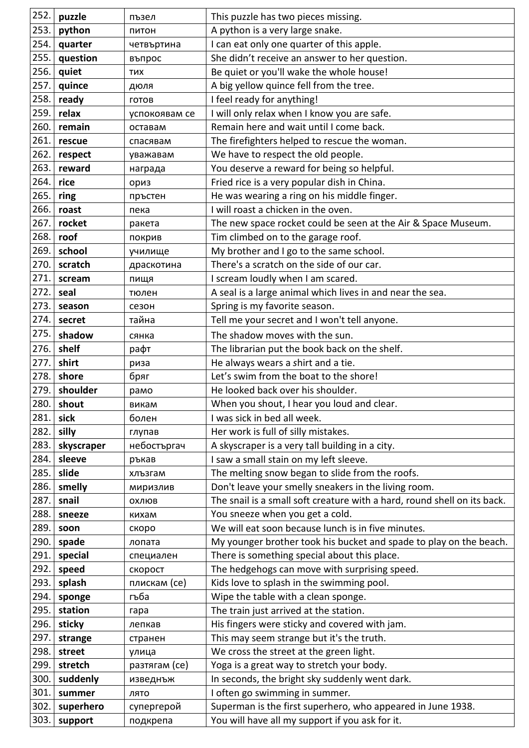| 252. | puzzle     | пъзел         | This puzzle has two pieces missing.                                      |
|------|------------|---------------|--------------------------------------------------------------------------|
| 253. | python     | ПИТОН         | A python is a very large snake.                                          |
| 254. | quarter    | четвъртина    | I can eat only one quarter of this apple.                                |
| 255. | question   | въпрос        | She didn't receive an answer to her question.                            |
| 256. | quiet      | <b>TMX</b>    | Be quiet or you'll wake the whole house!                                 |
| 257. | quince     | дюля          | A big yellow quince fell from the tree.                                  |
| 258. | ready      | ГОТОВ         | I feel ready for anything!                                               |
| 259. | relax      | успокоявам се | I will only relax when I know you are safe.                              |
| 260. | remain     | оставам       | Remain here and wait until I come back.                                  |
| 261. | rescue     | спасявам      | The firefighters helped to rescue the woman.                             |
| 262. | respect    | уважавам      | We have to respect the old people.                                       |
| 263. | reward     | награда       | You deserve a reward for being so helpful.                               |
| 264. | rice       | ориз          | Fried rice is a very popular dish in China.                              |
| 265. | ring       | пръстен       | He was wearing a ring on his middle finger.                              |
| 266. | roast      | пека          | I will roast a chicken in the oven.                                      |
| 267. | rocket     | ракета        | The new space rocket could be seen at the Air & Space Museum.            |
| 268. | roof       | покрив        | Tim climbed on to the garage roof.                                       |
| 269. | school     | училище       | My brother and I go to the same school.                                  |
| 270. | scratch    | драскотина    | There's a scratch on the side of our car.                                |
| 271. | scream     | пищя          | I scream loudly when I am scared.                                        |
| 272. | seal       | тюлен         | A seal is a large animal which lives in and near the sea.                |
| 273. | season     | сезон         | Spring is my favorite season.                                            |
| 274. | secret     | тайна         | Tell me your secret and I won't tell anyone.                             |
| 275. | shadow     | сянка         | The shadow moves with the sun.                                           |
| 276. | shelf      | рафт          | The librarian put the book back on the shelf.                            |
| 277. | shirt      | риза          | He always wears a shirt and a tie.                                       |
| 278. | shore      | бряг          | Let's swim from the boat to the shore!                                   |
| 279. | shoulder   | рамо          | He looked back over his shoulder.                                        |
| 280. | shout      | викам         | When you shout, I hear you loud and clear.                               |
| 281. | sick       | болен         | I was sick in bed all week.                                              |
| 282. | silly      | глупав        | Her work is full of silly mistakes.                                      |
| 283. | skyscraper | небостъргач   | A skyscraper is a very tall building in a city.                          |
| 284. | sleeve     | ръкав         | I saw a small stain on my left sleeve.                                   |
| 285. | slide      | хлъзгам       | The melting snow began to slide from the roofs.                          |
| 286. | smelly     | миризлив      | Don't leave your smelly sneakers in the living room.                     |
| 287. | snail      | ОХЛЮВ         | The snail is a small soft creature with a hard, round shell on its back. |
| 288. | sneeze     | кихам         | You sneeze when you get a cold.                                          |
| 289. | soon       | скоро         | We will eat soon because lunch is in five minutes.                       |
| 290. | spade      | лопата        | My younger brother took his bucket and spade to play on the beach.       |
| 291. | special    | специален     | There is something special about this place.                             |
| 292. | speed      | скорост       | The hedgehogs can move with surprising speed.                            |
| 293. | splash     | плискам (се)  | Kids love to splash in the swimming pool.                                |
| 294. | sponge     | гъба          | Wipe the table with a clean sponge.                                      |
| 295. | station    | гара          | The train just arrived at the station.                                   |
| 296. | sticky     | лепкав        | His fingers were sticky and covered with jam.                            |
| 297. | strange    | странен       | This may seem strange but it's the truth.                                |
| 298. | street     | улица         | We cross the street at the green light.                                  |
| 299. | stretch    | разтягам (се) | Yoga is a great way to stretch your body.                                |
| 300. | suddenly   | изведнъж      | In seconds, the bright sky suddenly went dark.                           |
| 301. | summer     | ЛЯТО          | I often go swimming in summer.                                           |
| 302. | superhero  | супергерой    | Superman is the first superhero, who appeared in June 1938.              |
| 303. | support    | подкрепа      | You will have all my support if you ask for it.                          |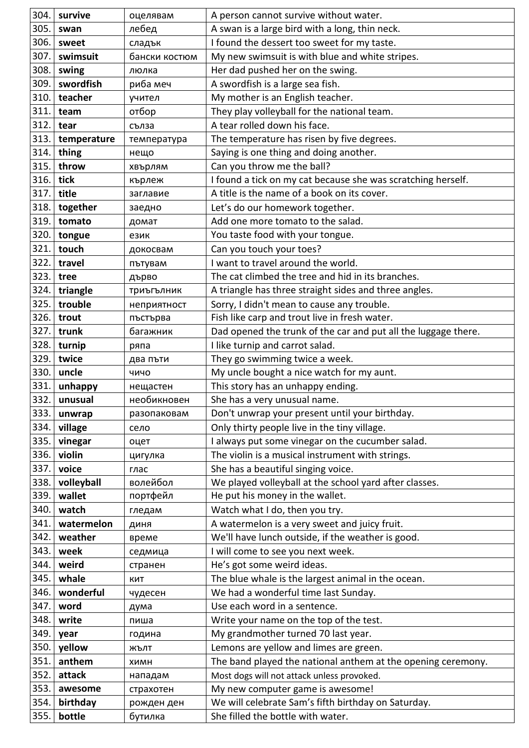| 304. | survive     | оцелявам      | A person cannot survive without water.                         |
|------|-------------|---------------|----------------------------------------------------------------|
| 305. | swan        | лебед         | A swan is a large bird with a long, thin neck.                 |
| 306. | sweet       | сладък        | I found the dessert too sweet for my taste.                    |
| 307. | swimsuit    | бански костюм | My new swimsuit is with blue and white stripes.                |
| 308. | swing       | люлка         | Her dad pushed her on the swing.                               |
| 309. | swordfish   | риба меч      | A swordfish is a large sea fish.                               |
| 310. | teacher     | учител        | My mother is an English teacher.                               |
| 311. | team        | отбор         | They play volleyball for the national team.                    |
| 312. | tear        | сълза         | A tear rolled down his face.                                   |
| 313. | temperature | температура   | The temperature has risen by five degrees.                     |
| 314. | thing       | нещо          | Saying is one thing and doing another.                         |
| 315. | throw       | хвърлям       | Can you throw me the ball?                                     |
| 316. | tick        | кърлеж        | I found a tick on my cat because she was scratching herself.   |
| 317. | title       | заглавие      | A title is the name of a book on its cover.                    |
| 318. | together    | заедно        | Let's do our homework together.                                |
| 319. | tomato      | домат         | Add one more tomato to the salad.                              |
| 320. | tongue      | език          | You taste food with your tongue.                               |
| 321. | touch       | докосвам      | Can you touch your toes?                                       |
| 322. | travel      | пътувам       | I want to travel around the world.                             |
| 323. | tree        | дърво         | The cat climbed the tree and hid in its branches.              |
| 324. | triangle    | триъгълник    | A triangle has three straight sides and three angles.          |
| 325. | trouble     | неприятност   | Sorry, I didn't mean to cause any trouble.                     |
| 326. | trout       | пъстърва      | Fish like carp and trout live in fresh water.                  |
| 327. | trunk       | багажник      | Dad opened the trunk of the car and put all the luggage there. |
| 328. | turnip      | ряпа          | I like turnip and carrot salad.                                |
| 329. | twice       | два пъти      | They go swimming twice a week.                                 |
| 330. | uncle       | ЧИЧО          | My uncle bought a nice watch for my aunt.                      |
| 331. | unhappy     | нещастен      | This story has an unhappy ending.                              |
| 332. | unusual     | необикновен   | She has a very unusual name.                                   |
| 333. | unwrap      | разопаковам   | Don't unwrap your present until your birthday.                 |
| 334. | village     | село          | Only thirty people live in the tiny village.                   |
| 335. | vinegar     | оцет          | I always put some vinegar on the cucumber salad.               |
| 336. | violin      | цигулка       | The violin is a musical instrument with strings.               |
| 337. | voice       | глас          | She has a beautiful singing voice.                             |
| 338. | volleyball  | волейбол      | We played volleyball at the school yard after classes.         |
| 339. | wallet      | портфейл      | He put his money in the wallet.                                |
| 340. | watch       | гледам        | Watch what I do, then you try.                                 |
| 341. | watermelon  | ДИНЯ          | A watermelon is a very sweet and juicy fruit.                  |
| 342. | weather     | време         | We'll have lunch outside, if the weather is good.              |
| 343. | week        | седмица       | I will come to see you next week.                              |
| 344. | weird       | странен       | He's got some weird ideas.                                     |
| 345. | whale       | КИТ           | The blue whale is the largest animal in the ocean.             |
| 346. | wonderful   | чудесен       | We had a wonderful time last Sunday.                           |
| 347. | word        | дума          | Use each word in a sentence.                                   |
| 348. | write       | пиша          | Write your name on the top of the test.                        |
| 349. | year        | година        | My grandmother turned 70 last year.                            |
| 350. | yellow      | ЖЪЛТ          | Lemons are yellow and limes are green.                         |
| 351. | anthem      | ХИМН          | The band played the national anthem at the opening ceremony.   |
| 352. | attack      | нападам       | Most dogs will not attack unless provoked.                     |
| 353. | awesome     | страхотен     | My new computer game is awesome!                               |
| 354. | birthday    | рожден ден    | We will celebrate Sam's fifth birthday on Saturday.            |
| 355. | bottle      | бутилка       | She filled the bottle with water.                              |